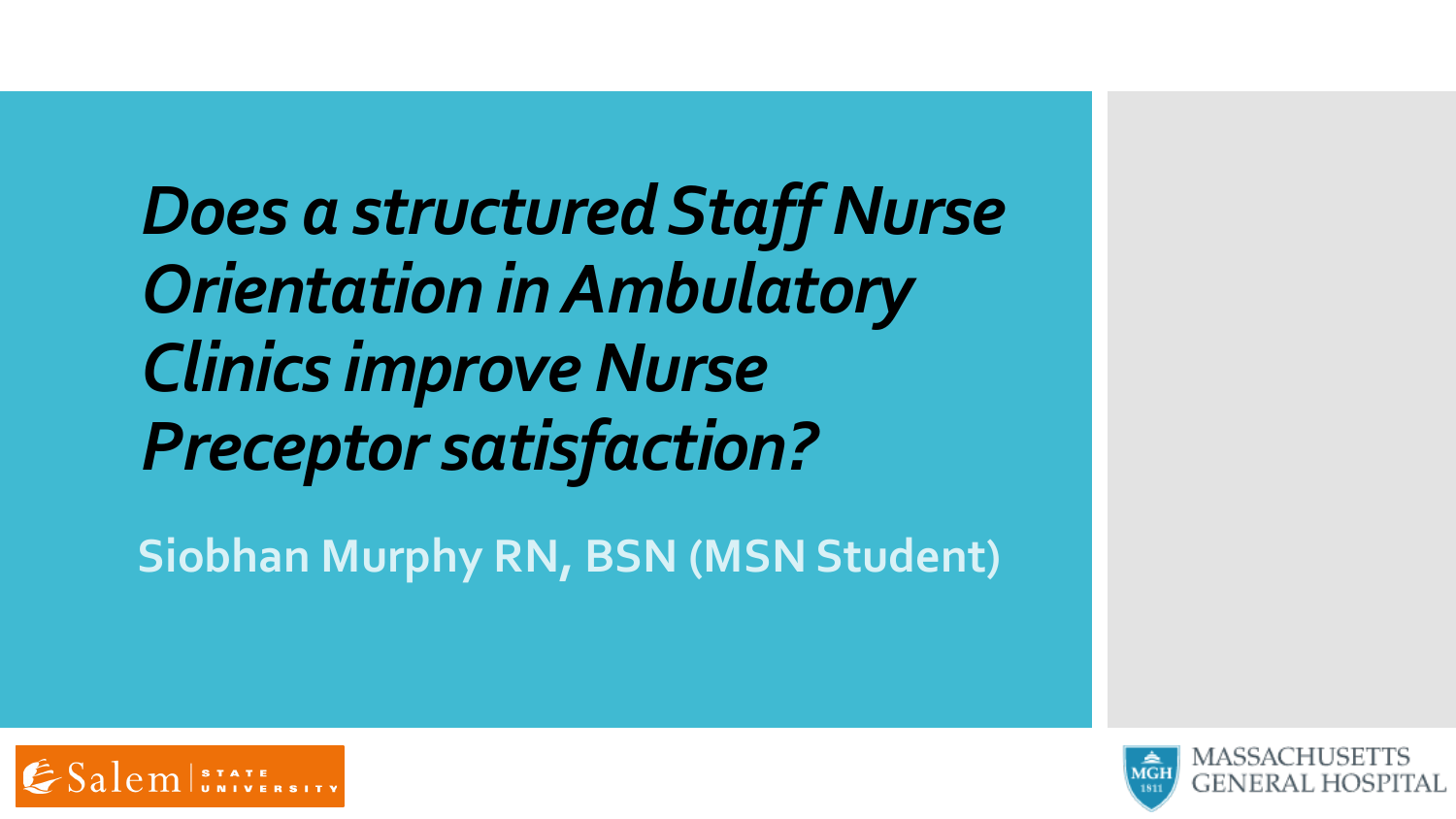*Does a structured Staff Nurse Orientation in Ambulatory*  **Clinics improve Nurse** *Preceptor satisfaction?*

**Siobhan Murphy RN, BSN (MSN Student)**



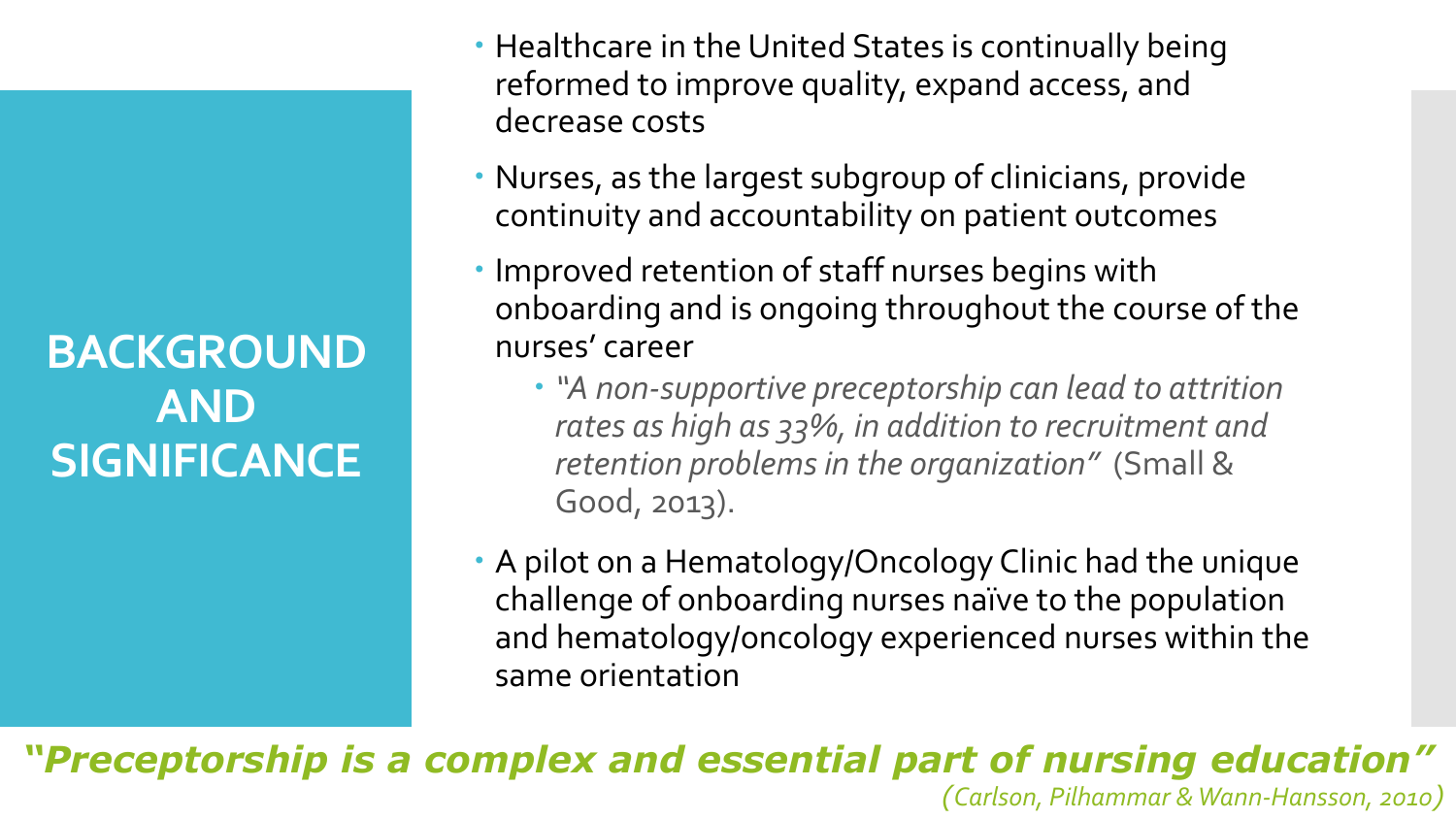**BACKGROUND AND SIGNIFICANCE**

- Healthcare in the United States is continually being reformed to improve quality, expand access, and decrease costs
- Nurses, as the largest subgroup of clinicians, provide continuity and accountability on patient outcomes
- Improved retention of staff nurses begins with onboarding and is ongoing throughout the course of the nurses' career
	- *"A non-supportive preceptorship can lead to attrition rates as high as 33%, in addition to recruitment and retention problems in the organization"* (Small & Good, 2013).
- A pilot on a Hematology/Oncology Clinic had the unique challenge of onboarding nurses naïve to the population and hematology/oncology experienced nurses within the same orientation

*"Preceptorship is a complex and essential part of nursing education"*

*(Carlson, Pilhammar & Wann-Hansson, 2010)*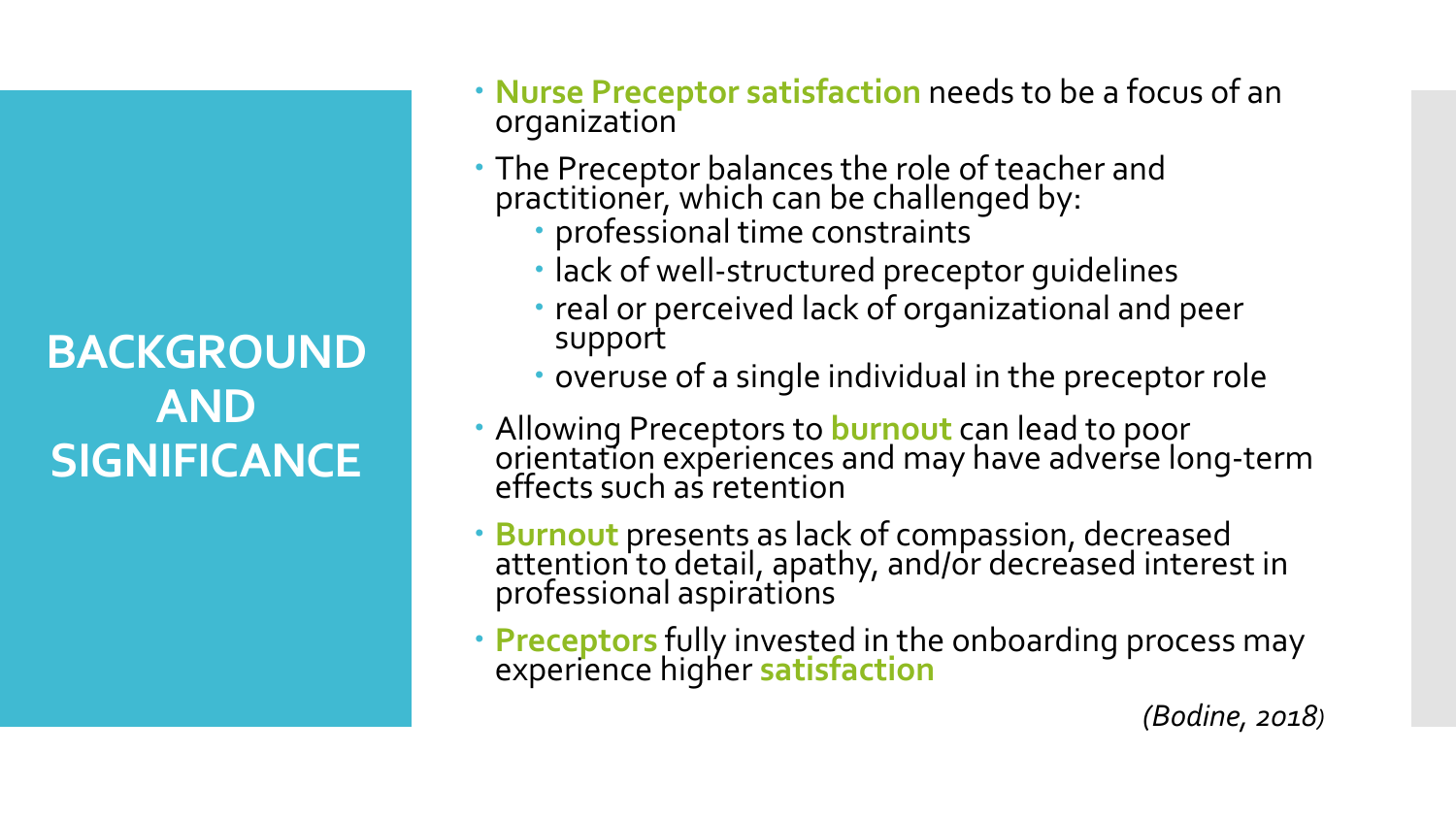**BACKGROUND AND SIGNIFICANCE**

- **Nurse Preceptor satisfaction** needs to be a focus of an organization
- The Preceptor balances the role of teacher and practitioner, which can be challenged by:
	- professional time constraints
	- lack of well-structured preceptor guidelines
	- real or perceived lack of organizational and peer support
	- overuse of a single individual in the preceptor role
- Allowing Preceptors to **burnout** can lead to poor orientation experiences and may have adverse long-term effects such as retention
- **Burnout** presents as lack of compassion, decreased<br>attention to detail, apathy, and/or decreased interest in professional aspirations
- **Preceptors** fully invested in the onboarding process may experience higher **satisfaction**

*(Bodine, 2018)*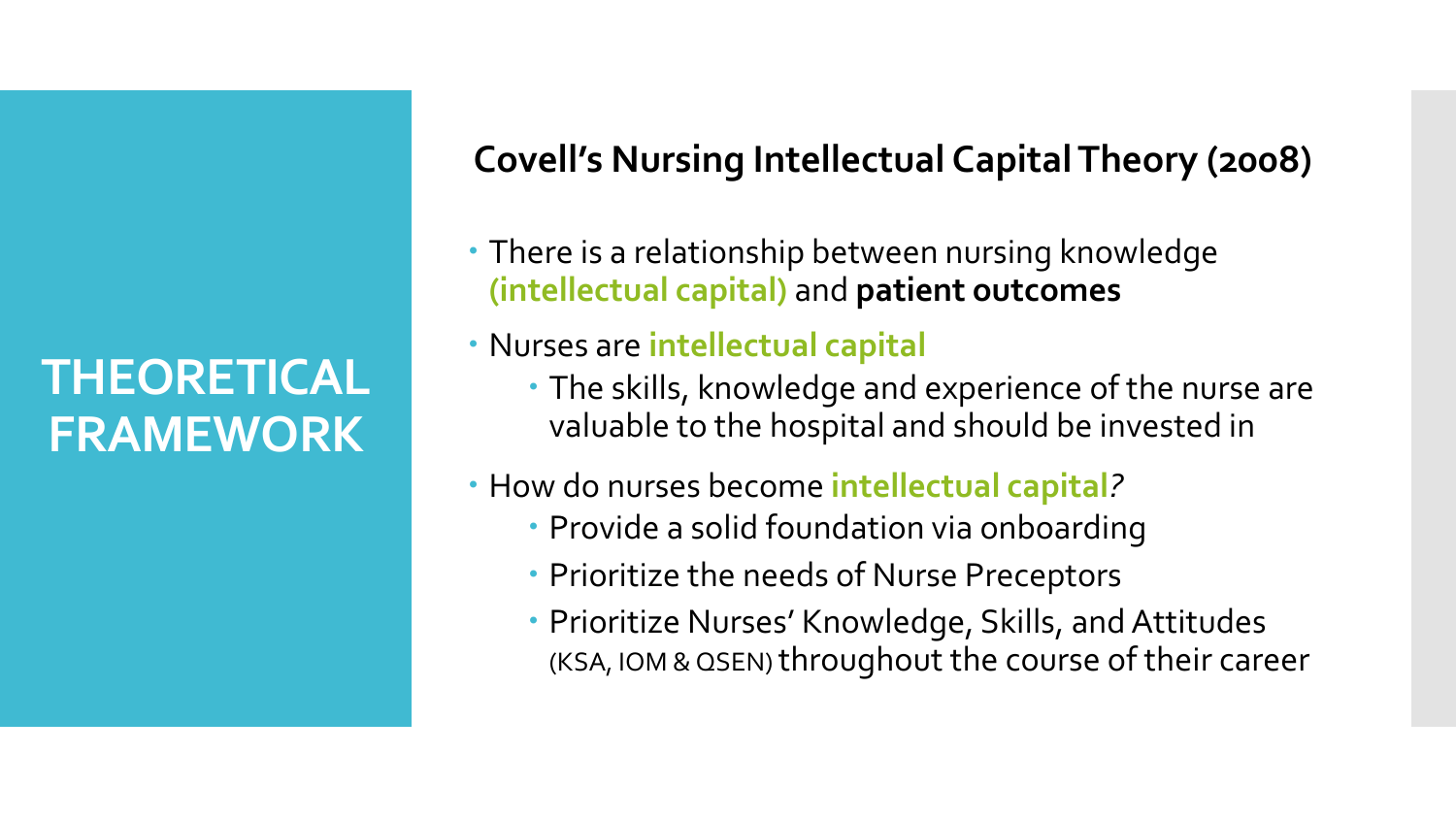# **THEORETICAL FRAMEWORK**

# **Covell's Nursing Intellectual Capital Theory (2008)**

- There is a relationship between nursing knowledge **(intellectual capital)** and **patient outcomes**
- Nurses are **intellectual capital**
	- The skills, knowledge and experience of the nurse are valuable to the hospital and should be invested in
- How do nurses become **intellectual capital***?*
	- Provide a solid foundation via onboarding
	- Prioritize the needs of Nurse Preceptors
	- Prioritize Nurses' Knowledge, Skills, and Attitudes (KSA, IOM & QSEN) throughout the course of their career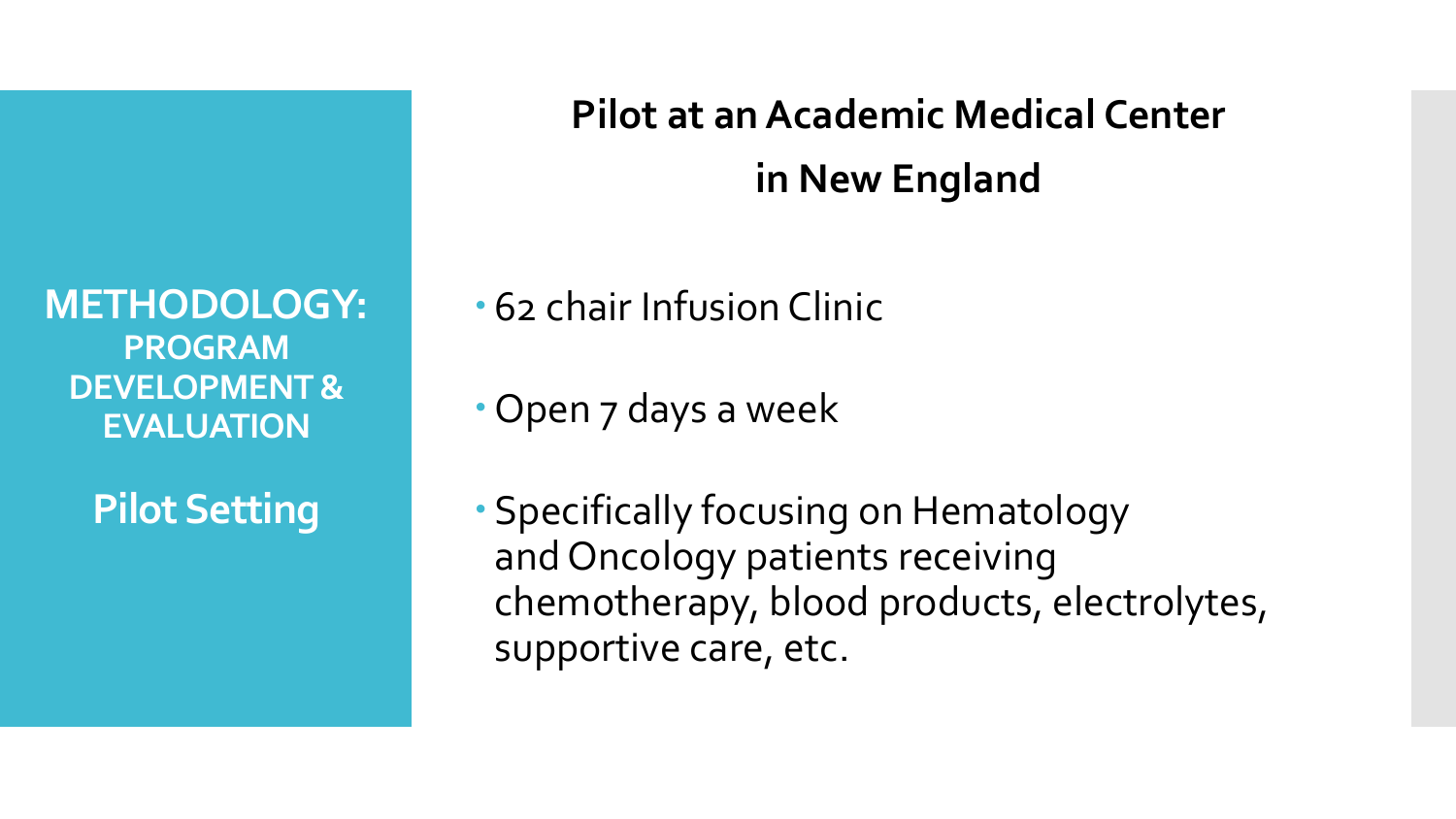**METHODOLOGY: PROGRAM DEVELOPMENT & EVALUATION**

**Pilot Setting**

**Pilot at anAcademic Medical Center in New England**

62 chair Infusion Clinic

Open 7 days a week

 Specifically focusing on Hematology and Oncology patients receiving chemotherapy, blood products, electrolytes, supportive care, etc.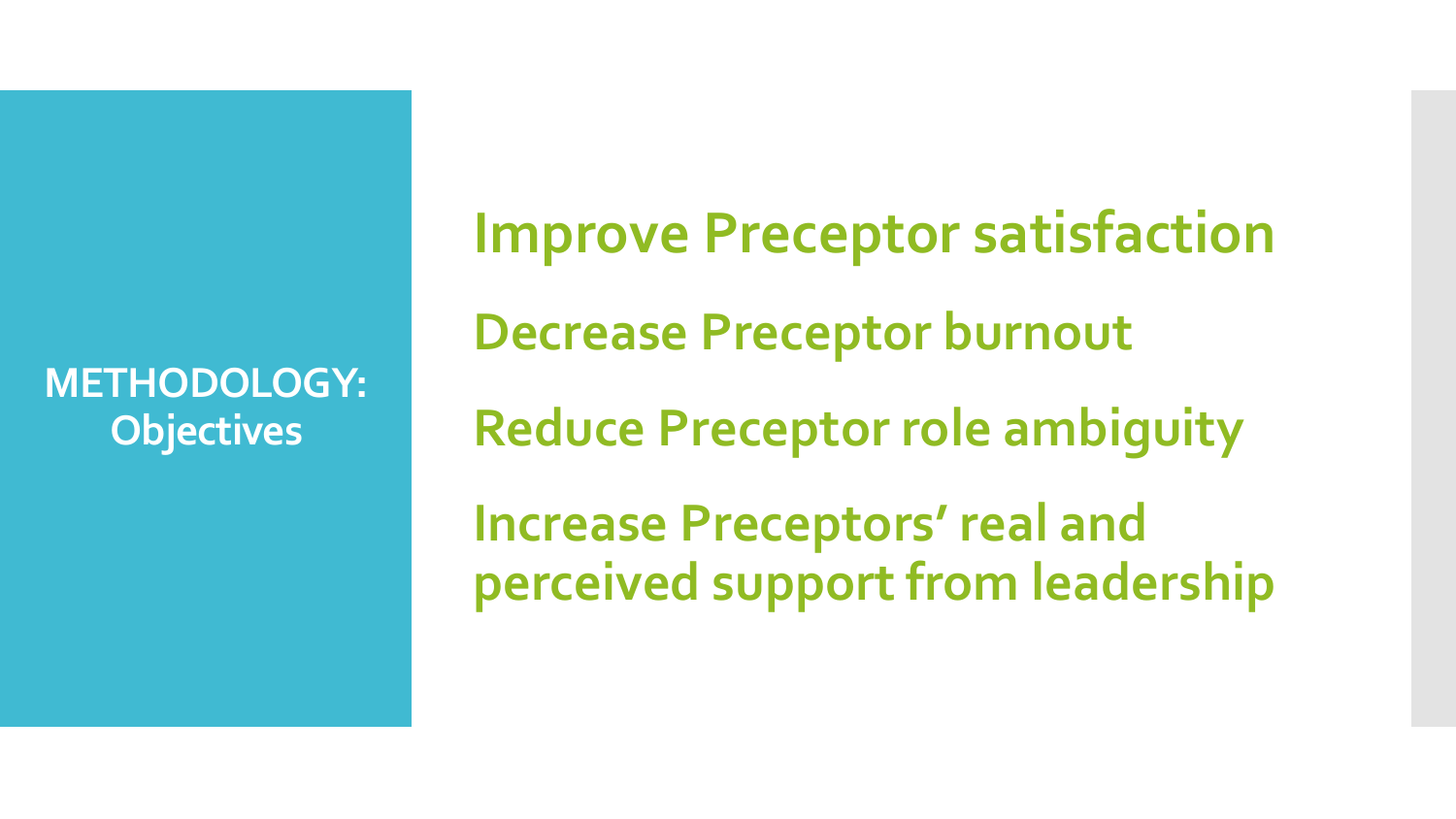**METHODOLOGY: Objectives**

**Improve Preceptor satisfaction Decrease Preceptor burnout Reduce Preceptor role ambiguity Increase Preceptors' real and perceived support from leadership**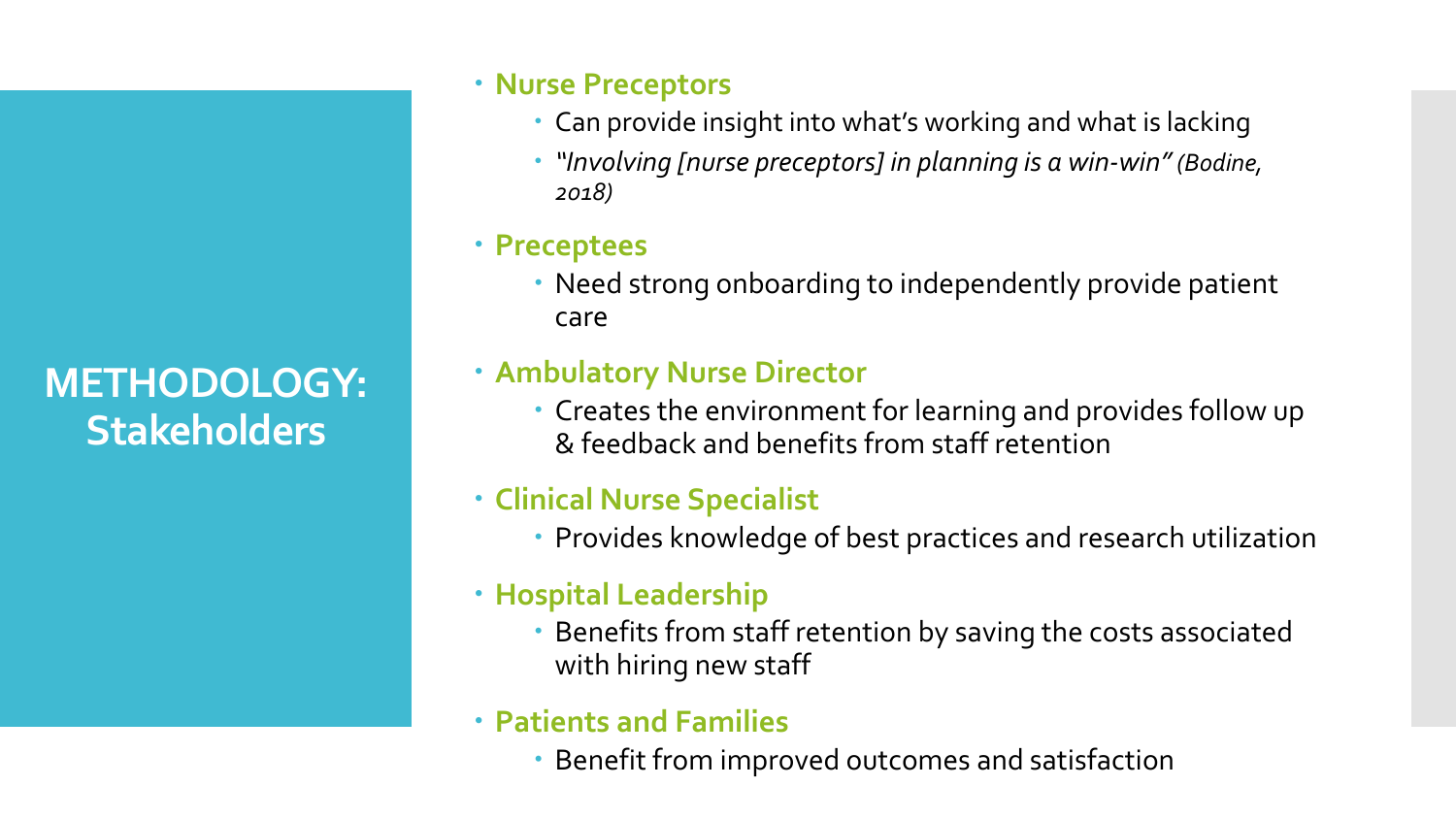**METHODOLOGY: Stakeholders**

### **Nurse Preceptors**

- Can provide insight into what's working and what is lacking
- *"Involving [nurse preceptors] in planning is a win-win" (Bodine, 2018)*

### **Preceptees**

 Need strong onboarding to independently provide patient care

## **Ambulatory Nurse Director**

 Creates the environment for learning and provides follow up & feedback and benefits from staff retention

## **Clinical Nurse Specialist**

Provides knowledge of best practices and research utilization

### **Hospital Leadership**

 Benefits from staff retention by saving the costs associated with hiring new staff

### **Patients and Families**

Benefit from improved outcomes and satisfaction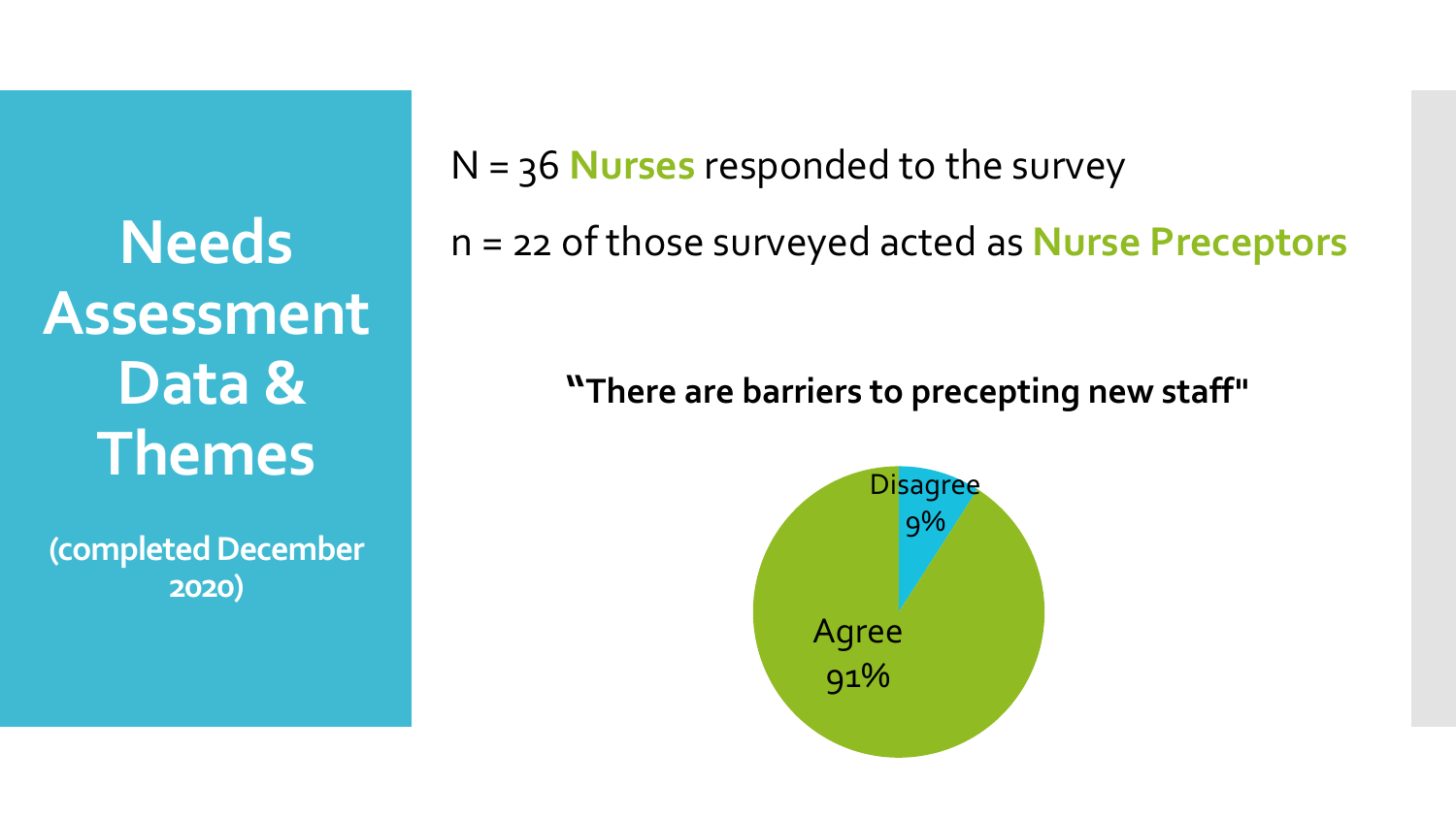**Needs Assessment Data & Themes** 

**(completed December 2020)**

N = 36 **Nurses** responded to the survey

n = 22 of those surveyed acted as **Nurse Preceptors**

**"There are barriers to precepting new staff"**

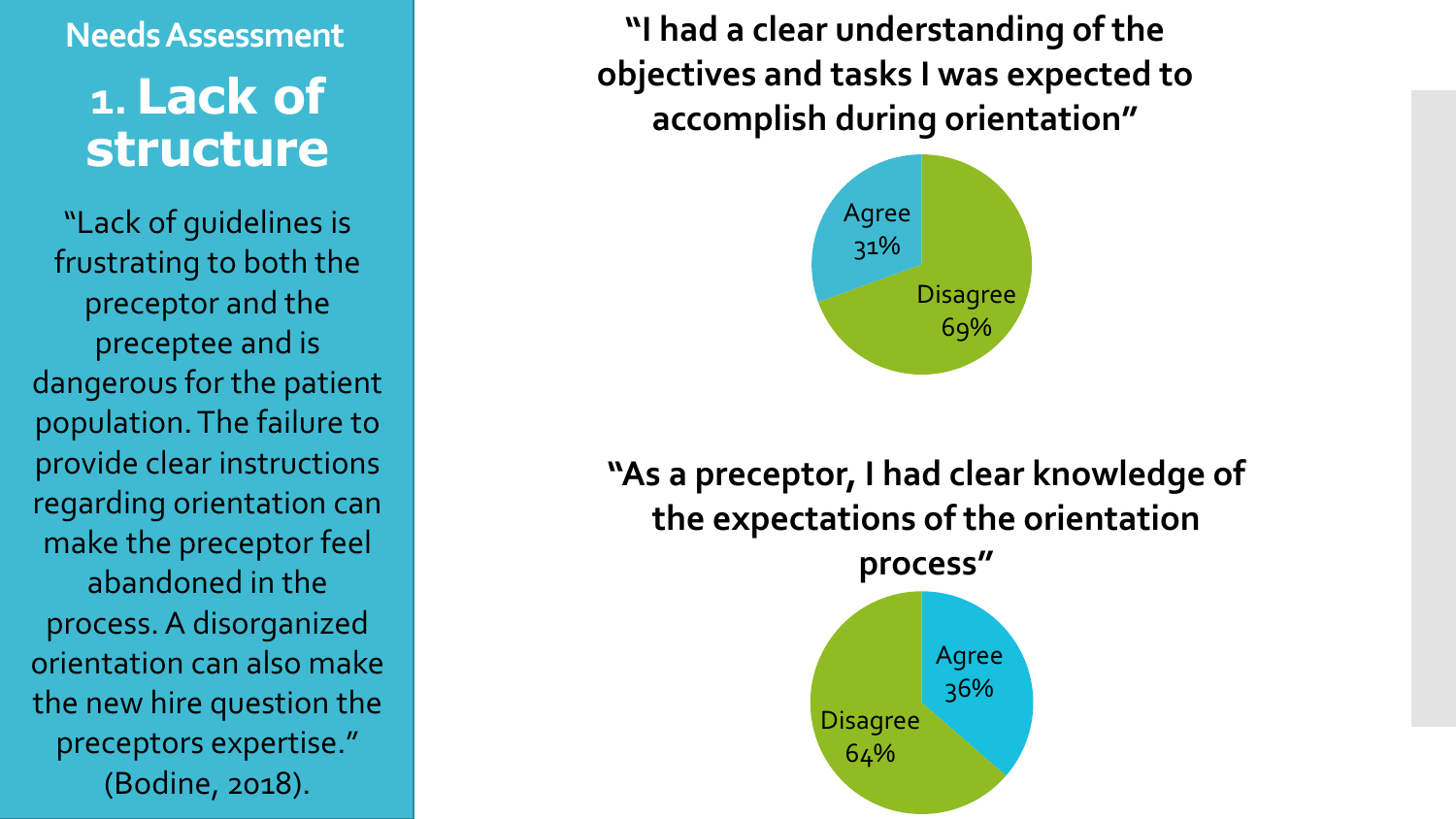# **Needs Assessment 1. Lack of structure**

"Lack of guidelines is frustrating to both the preceptor and the preceptee and is dangerous for the patient population. The failure to provide clear instructions regarding orientation can make the preceptor feel abandoned in the process. A disorganized orientation can also make the new hire question the preceptors expertise." (Bodine, 2018).

**"I had a clear understanding of the objectives and tasks I was expected to accomplish during orientation"**



# **"As a preceptor, I had clear knowledge of the expectations of the orientation**

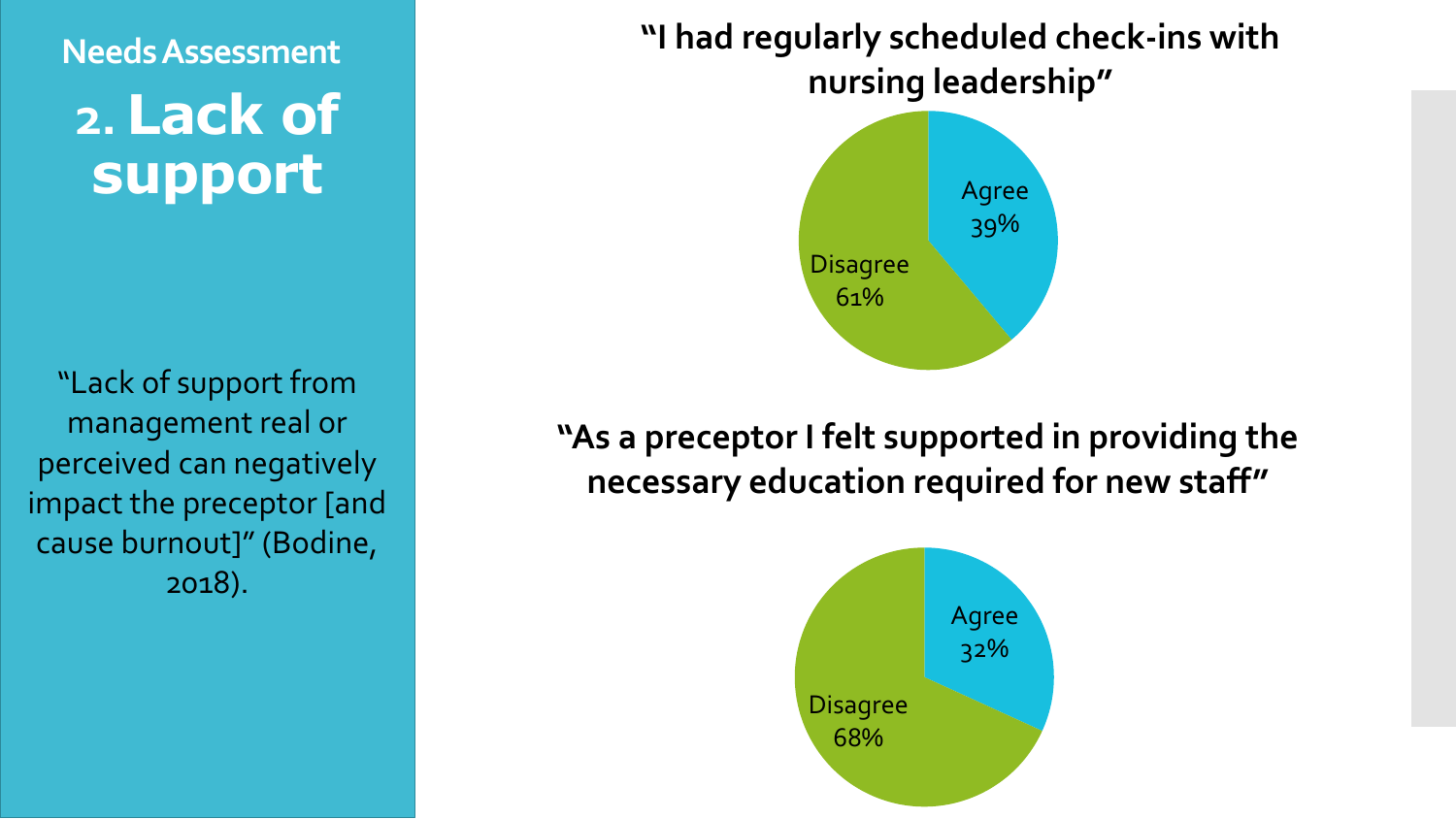# **Needs Assessment 2. Lack of**  support Agree

"Lack of support from management real or perceived can negatively impact the preceptor [and cause burnout]" (Bodine, 2018).

**"I had regularly scheduled check-ins with nursing leadership"**



**"As a preceptor I felt supported in providing the necessary education required for new staff"**

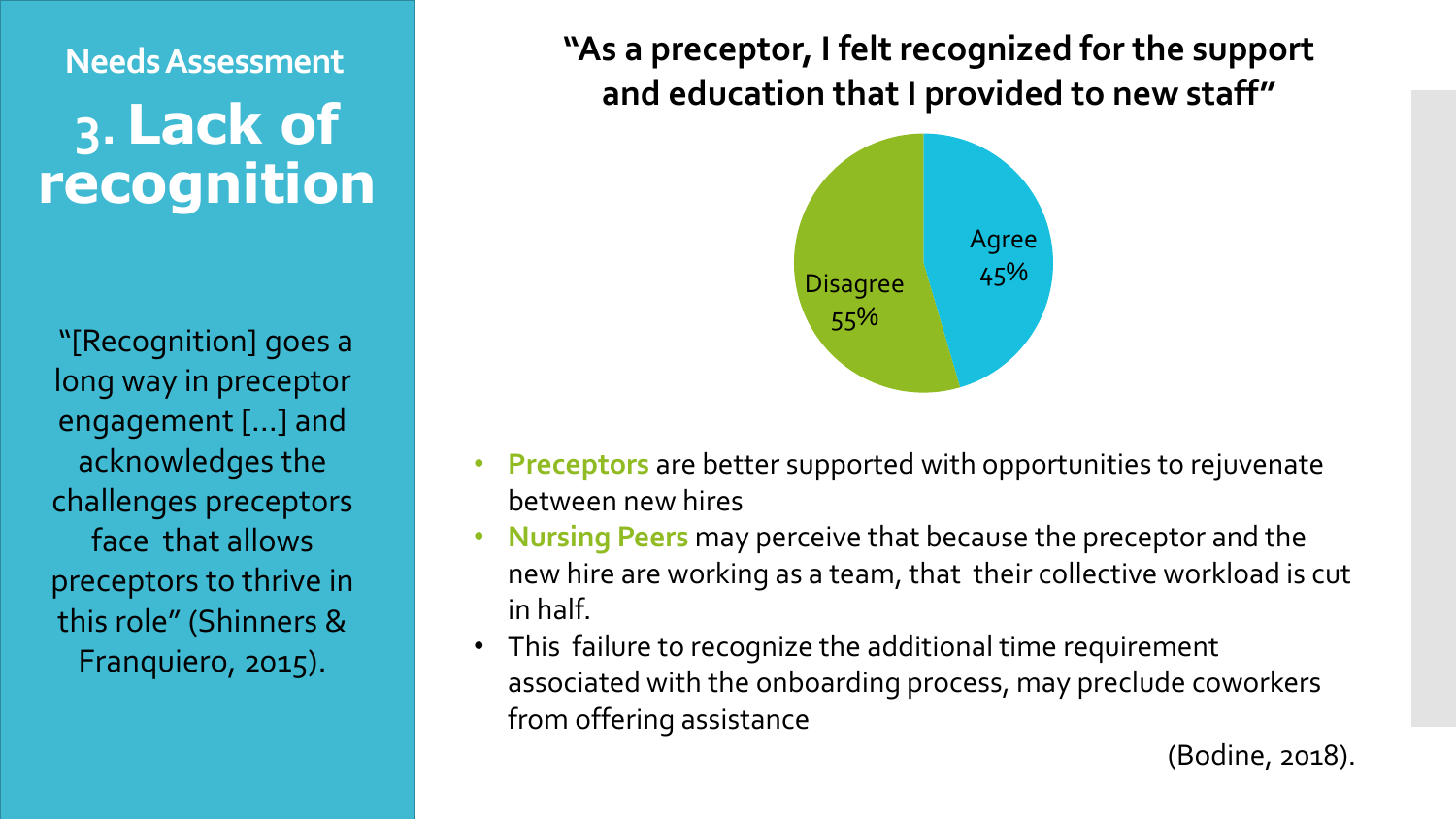# **Needs Assessment 3. Lack of recognition**

"[Recognition] goes a long way in preceptor engagement [...] and acknowledges the challenges preceptors face that allows preceptors to thrive in this role" (Shinners & Franquiero, 2015).

**"As a preceptor, I felt recognized for the support and education that I provided to new staff"**



- **Preceptors** are better supported with opportunities to rejuvenate between new hires
- **Nursing Peers** may perceive that because the preceptor and the new hire are working as a team, that their collective workload is cut in half.
- This failure to recognize the additional time requirement associated with the onboarding process, may preclude coworkers from offering assistance

(Bodine, 2018).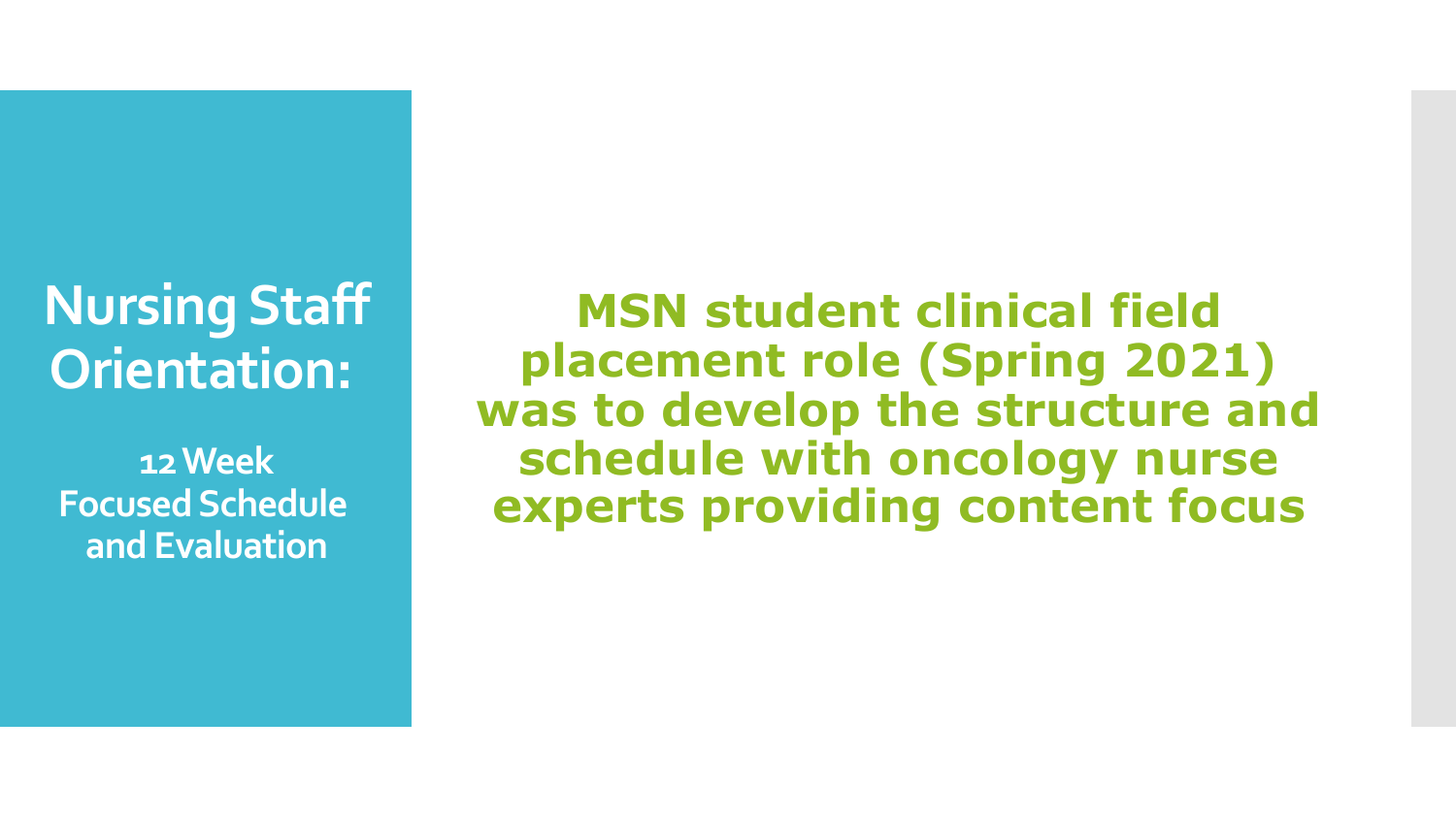# **Nursing Staff Orientation:**

**12 Week Focused Schedule and Evaluation**

**MSN student clinical field placement role (Spring 2021) was to develop the structure and schedule with oncology nurse experts providing content focus**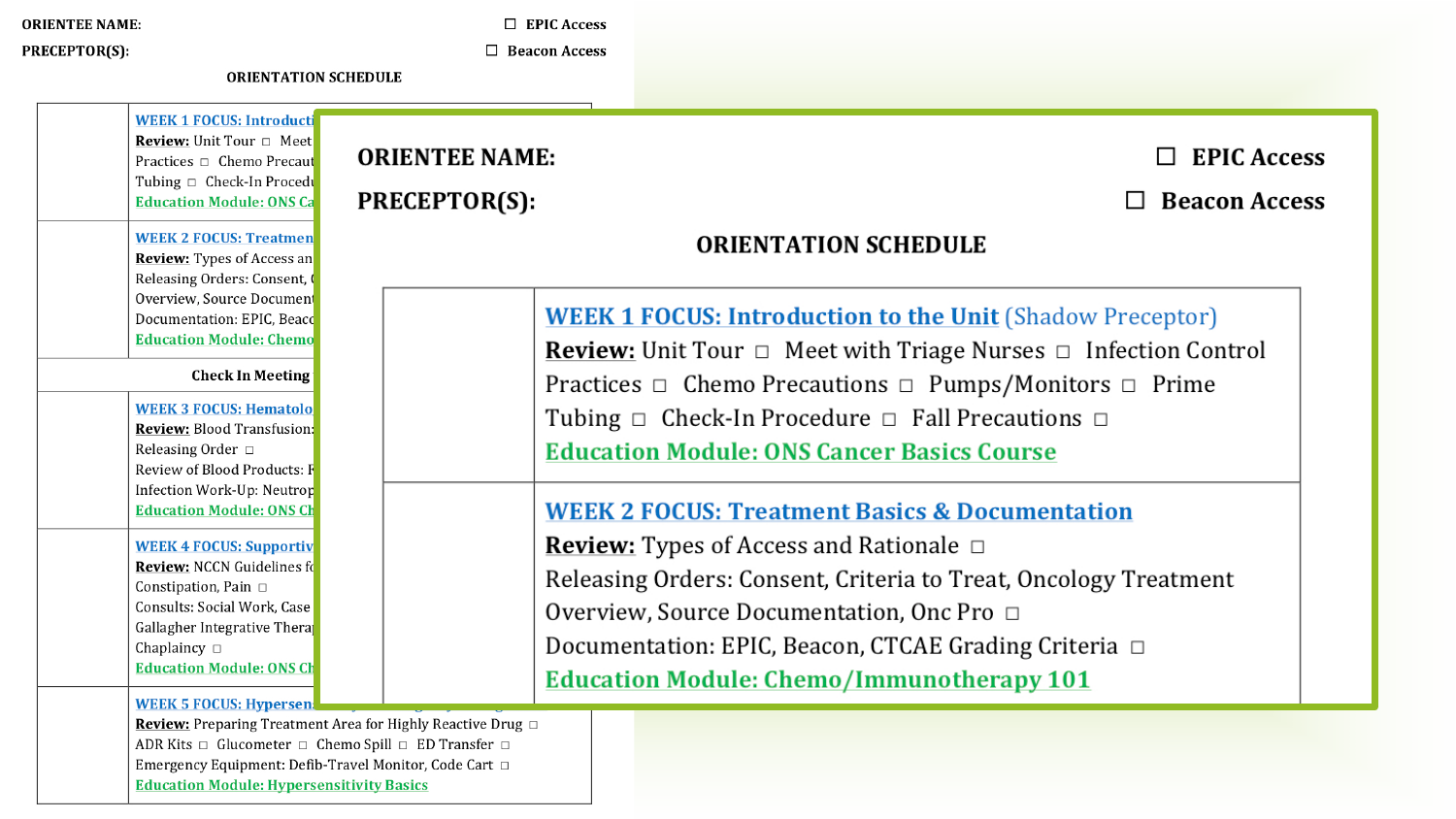#### **ORIENTEE NAME:**

 $\Box$  EPIC Access  $\Box$  Beacon Access

PRECEPTOR(S):

**Review:** Unit Tour  $\Box$  Meet

**Education Module: ONS Ca** 

**WEEK 2 FOCUS: Treatmen** 

**Review:** Types of Access an Releasing Orders: Consent, ( Overview, Source Document

Documentation: EPIC. Beaco **Education Module: Chemo** 

**WEEK 3 FOCUS: Hematolog** 

**Review: Blood Transfusion:** 

Review of Blood Products: F Infection Work-Up: Neutrop

**Education Module: ONS Ch** 

**WEEK 4 FOCUS: Supportiv Review: NCCN Guidelines for** 

Gallagher Integrative Thera

**Education Module: ONS Ch** 

**WEEK 5 FOCUS: Hypersen:** 

Constipation, Pain  $\Box$ Consults: Social Work, Case

Chaplaincy  $\Box$ 

Releasing Order □

**Check In Meeting** 

| <b>Review:</b> Unit Tour $\Box$ Meet |                       |
|--------------------------------------|-----------------------|
| Practices □ Chemo Precaut            | <b>ORIENTEE NAME:</b> |
| Tubing $\Box$ Check-In Procedu       |                       |

PRECEPTOR(S):

**EPIC Access** 

 $\Box$  Beacon Access

### **ORIENTATION SCHEDULE**

### **WEEK 1 FOCUS: Introduction to the Unit (Shadow Preceptor)**

**Review:** Unit Tour  $\Box$  Meet with Triage Nurses  $\Box$  Infection Control Practices  $\Box$  Chemo Precautions  $\Box$  Pumps/Monitors  $\Box$  Prime Tubing  $\Box$  Check-In Procedure  $\Box$  Fall Precautions  $\Box$ **Education Module: ONS Cancer Basics Course** 

### **WEEK 2 FOCUS: Treatment Basics & Documentation**

**Review:** Types of Access and Rationale  $\Box$ Releasing Orders: Consent, Criteria to Treat, Oncology Treatment Overview, Source Documentation, Onc Pro □ Documentation: EPIC, Beacon, CTCAE Grading Criteria □

**Education Module: Chemo/Immunotherapy 101** 

Review: Preparing Treatment Area for Highly Reactive Drug D ADR Kits □ Glucometer □ Chemo Spill □ ED Transfer □ Emergency Equipment: Defib-Travel Monitor, Code Cart  $\Box$ **Education Module: Hypersensitivity Basics** 

**WEEK 1 FOCUS: Introducti**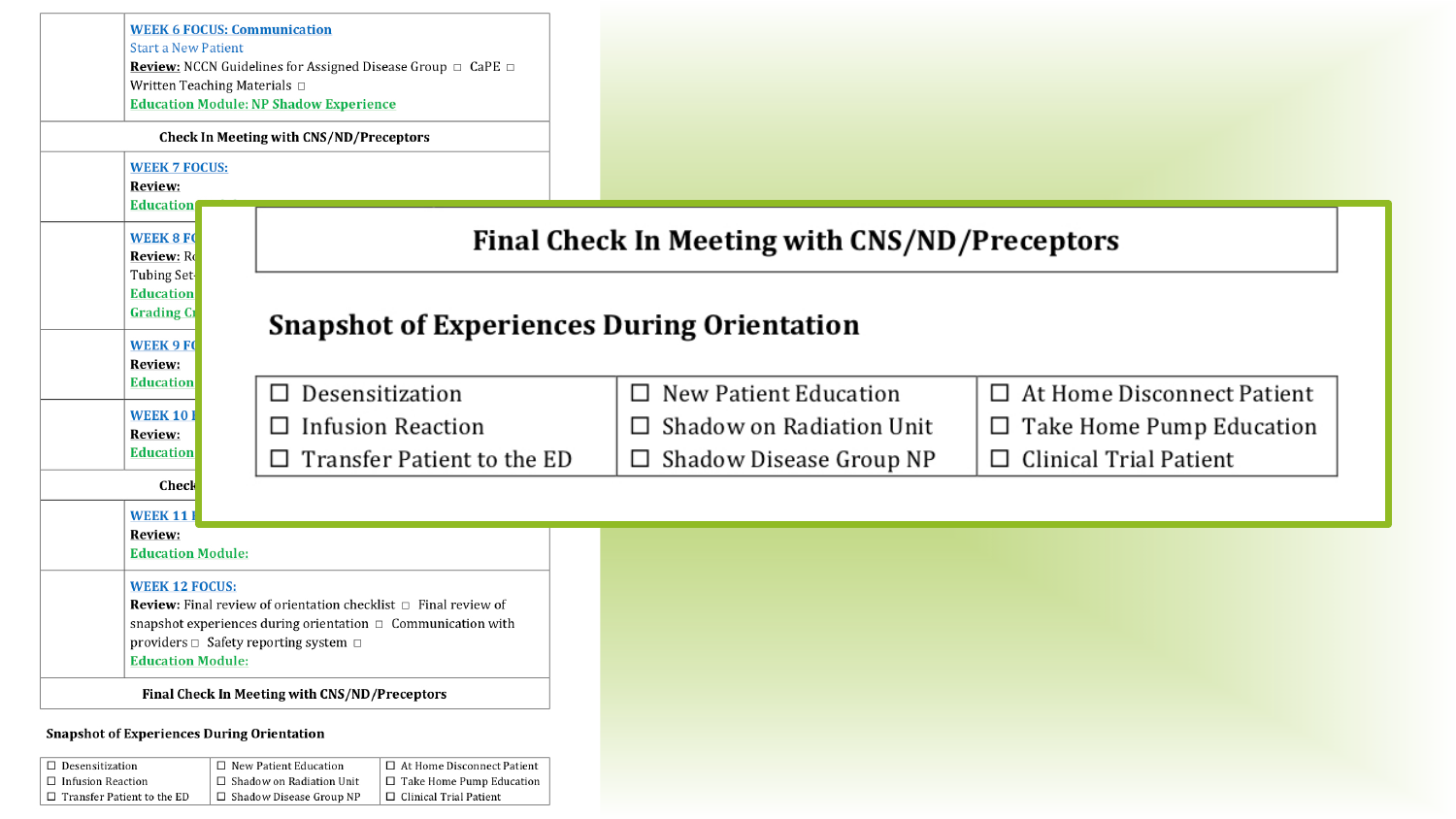| <b>Start a New Patient</b><br>Written Teaching Materials □                                                                                      | <b>WEEK 6 FOCUS: Communication</b><br>Review: NCCN Guidelines for Assigned Disease Group □ CaPE □<br><b>Education Module: NP Shadow Experience</b><br><b>Check In Meeting with CNS/ND/Preceptors</b> |                                                                                                            |                                                                                                                 |
|-------------------------------------------------------------------------------------------------------------------------------------------------|------------------------------------------------------------------------------------------------------------------------------------------------------------------------------------------------------|------------------------------------------------------------------------------------------------------------|-----------------------------------------------------------------------------------------------------------------|
| <b>WEEK 7 FOCUS:</b><br>Review:<br>Education<br><b>WEEK 8 FO</b><br><b>Review:</b> Re                                                           |                                                                                                                                                                                                      | Final Check In Meeting with CNS/ND/Preceptors                                                              |                                                                                                                 |
| Tubing Set-<br><b>Education</b><br><b>Grading Cr</b><br><b>Snapshot of Experiences During Orientation</b><br><b>WEEK 9 FO</b><br><b>Review:</b> |                                                                                                                                                                                                      |                                                                                                            |                                                                                                                 |
| <b>Education</b><br><b>WEEK 101</b><br><b>Review:</b><br><b>Education</b><br>Check                                                              | Desensitization<br>□<br><b>Infusion Reaction</b><br>□<br>Transfer Patient to the ED<br>□                                                                                                             | New Patient Education<br>$\Box$<br>Shadow on Radiation Unit<br>$\Box$<br>Shadow Disease Group NP<br>$\Box$ | $\Box$ At Home Disconnect Patient<br>$\Box$ Take Home Pump Education<br><b>Clinical Trial Patient</b><br>$\Box$ |
| <b>WEEK 11</b><br>Review:<br><b>Education Module:</b>                                                                                           |                                                                                                                                                                                                      |                                                                                                            |                                                                                                                 |
| <b>WEEK 12 FOCUS:</b><br><b>Education Module:</b>                                                                                               | <b>Review:</b> Final review of orientation checklist $\Box$ Final review of<br>snapshot experiences during orientation □ Communication with<br>providers □ Safety reporting system □                 |                                                                                                            |                                                                                                                 |
| <b>Snapshot of Experiences During Orientation</b><br>$\Box$ Desensitization                                                                     | Final Check In Meeting with CNS/ND/Preceptors<br>$\Box$ New Patient Education<br>□ At Home Disconnect Patient                                                                                        |                                                                                                            |                                                                                                                 |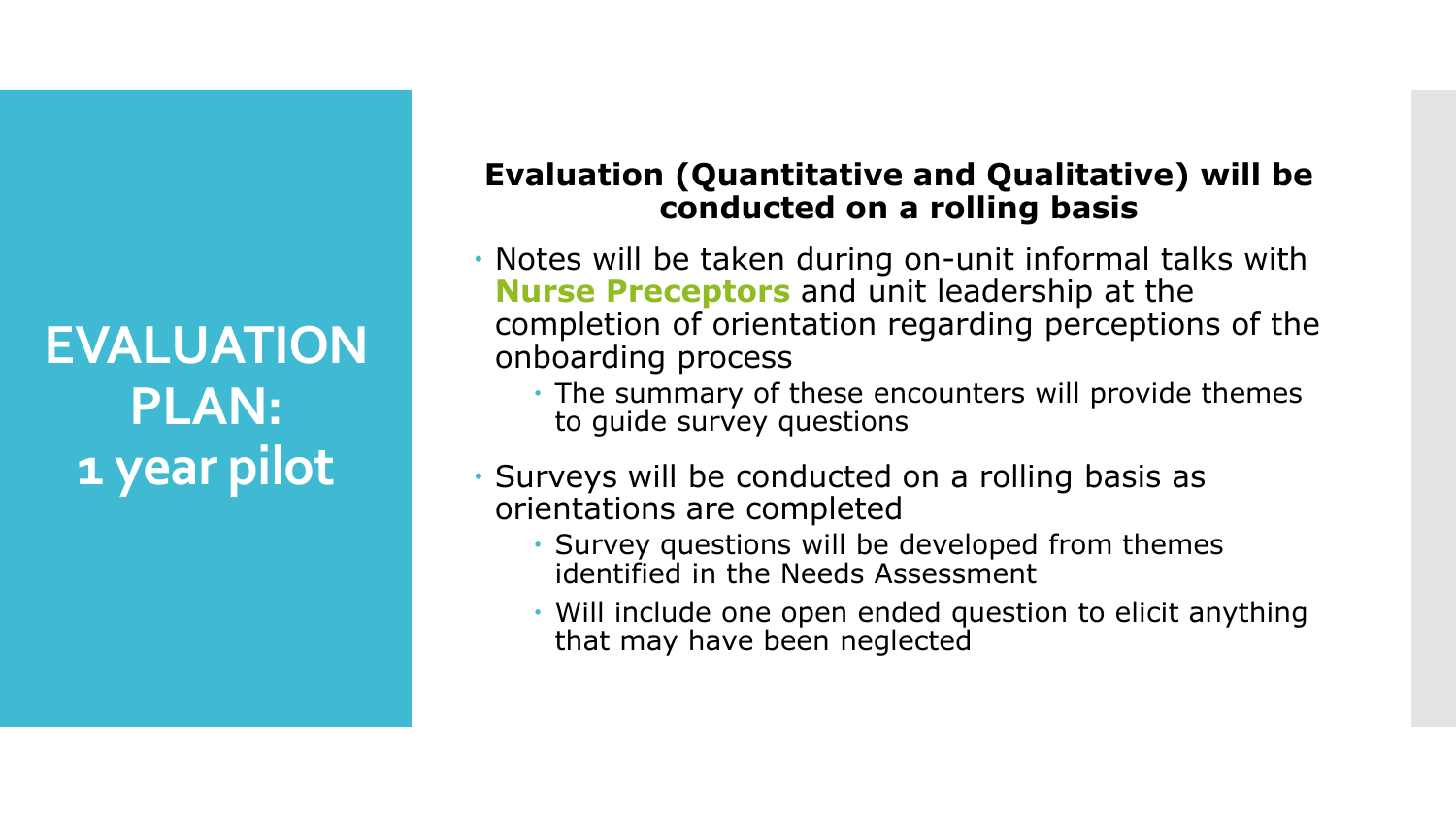**EVALUATION PLAN: 1 year pilot**

## **Evaluation (Quantitative and Qualitative) will be conducted on a rolling basis**

- Notes will be taken during on-unit informal talks with **Nurse Preceptors** and unit leadership at the completion of orientation regarding perceptions of the onboarding process
	- The summary of these encounters will provide themes to guide survey questions
- Surveys will be conducted on a rolling basis as orientations are completed
	- Survey questions will be developed from themes identified in the Needs Assessment
	- Will include one open ended question to elicit anything that may have been neglected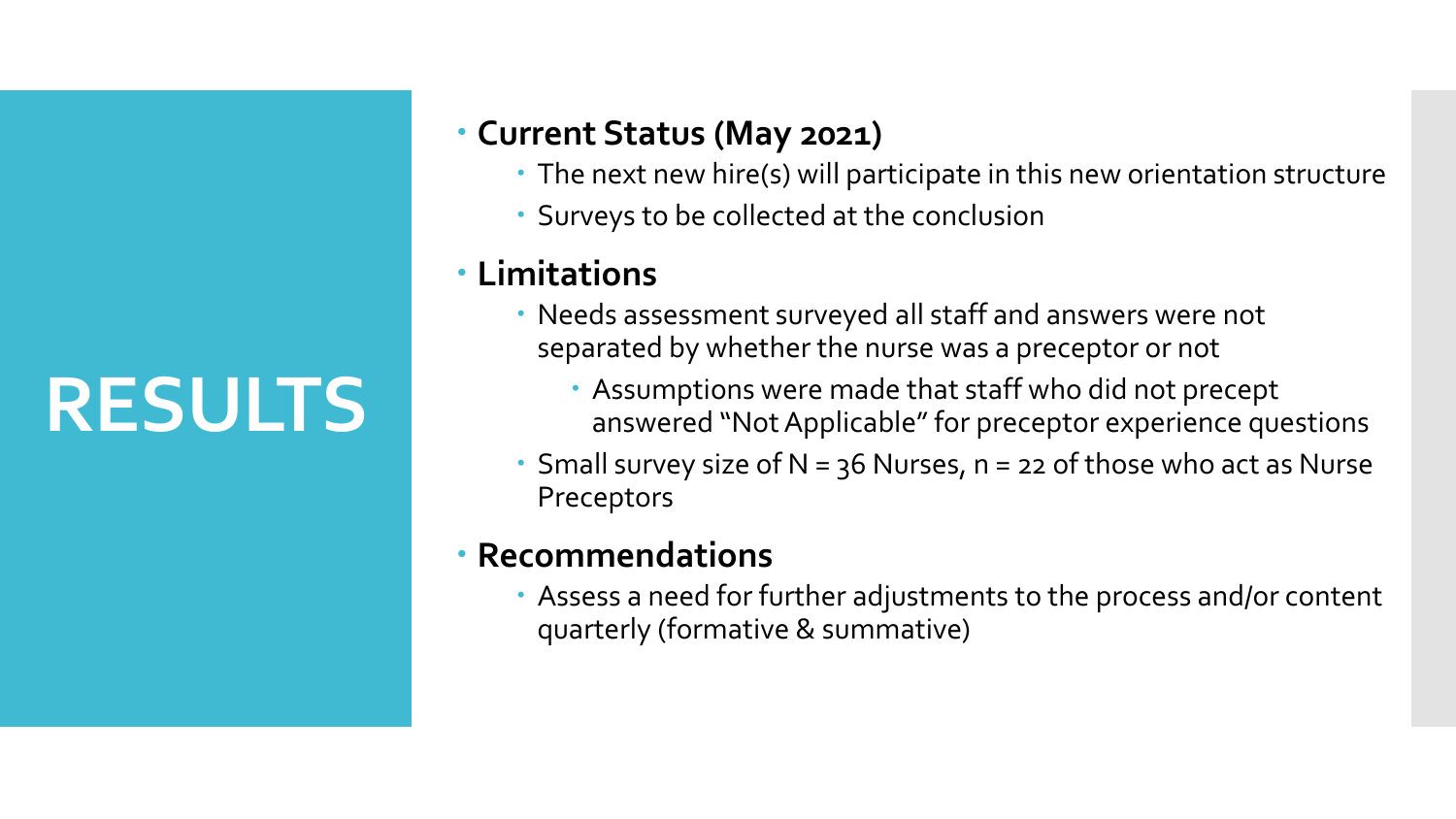# **RESULTS**

# **Current Status (May 2021)**

- The next new hire(s) will participate in this new orientation structure
- Surveys to be collected at the conclusion

# **Limitations**

- Needs assessment surveyed all staff and answers were not separated by whether the nurse was a preceptor or not
	- Assumptions were made that staff who did not precept answered "Not Applicable" for preceptor experience questions
- Small survey size of  $N = 36$  Nurses,  $n = 22$  of those who act as Nurse Preceptors

# **Recommendations**

 Assess a need for further adjustments to the process and/or content quarterly (formative & summative)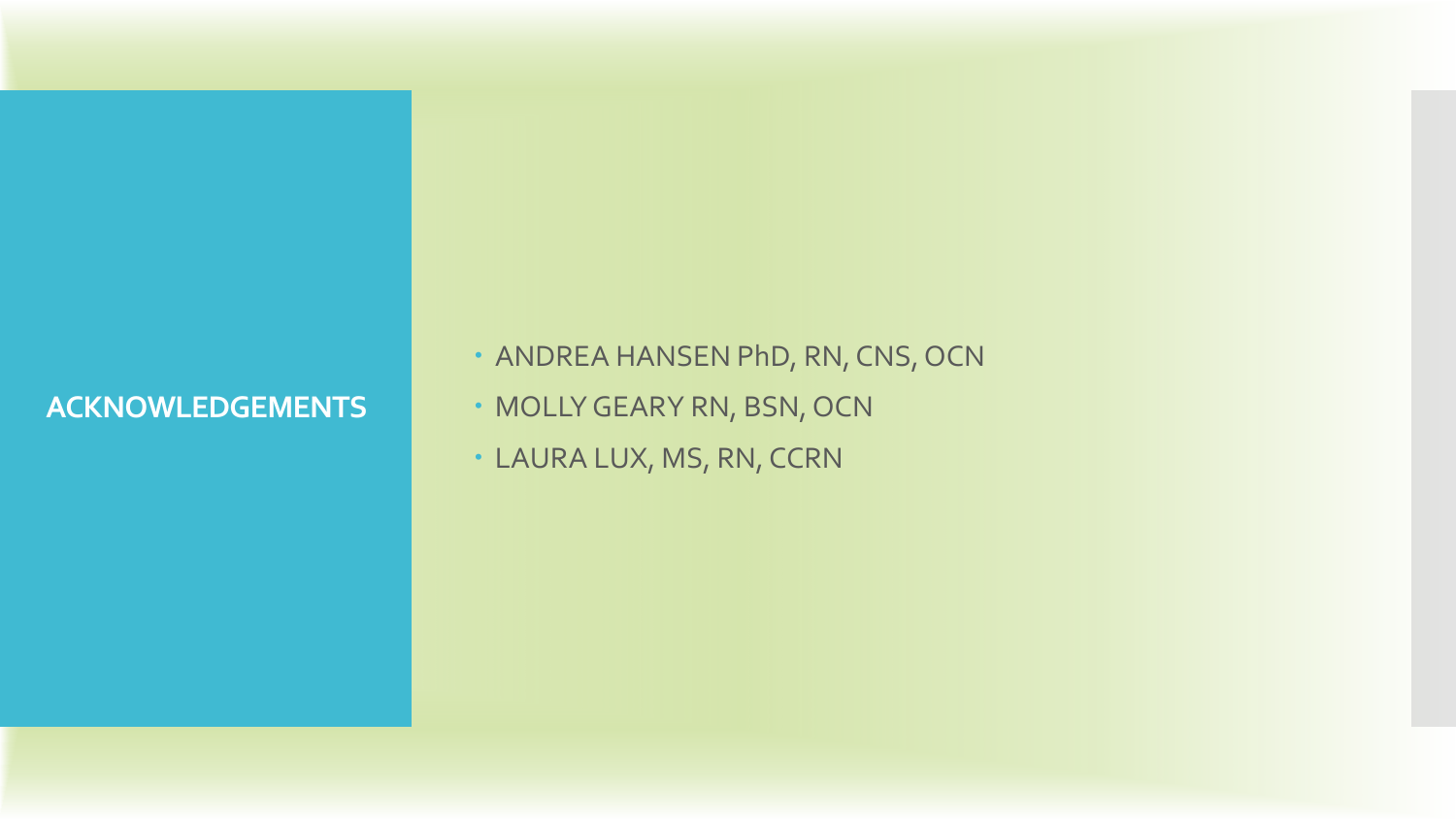## **ACKNOWLEDGEMENTS**

• ANDREA HANSEN PhD, RN, CNS, OCN

- MOLLY GEARY RN, BSN, OCN
- LAURA LUX, MS, RN, CCRN